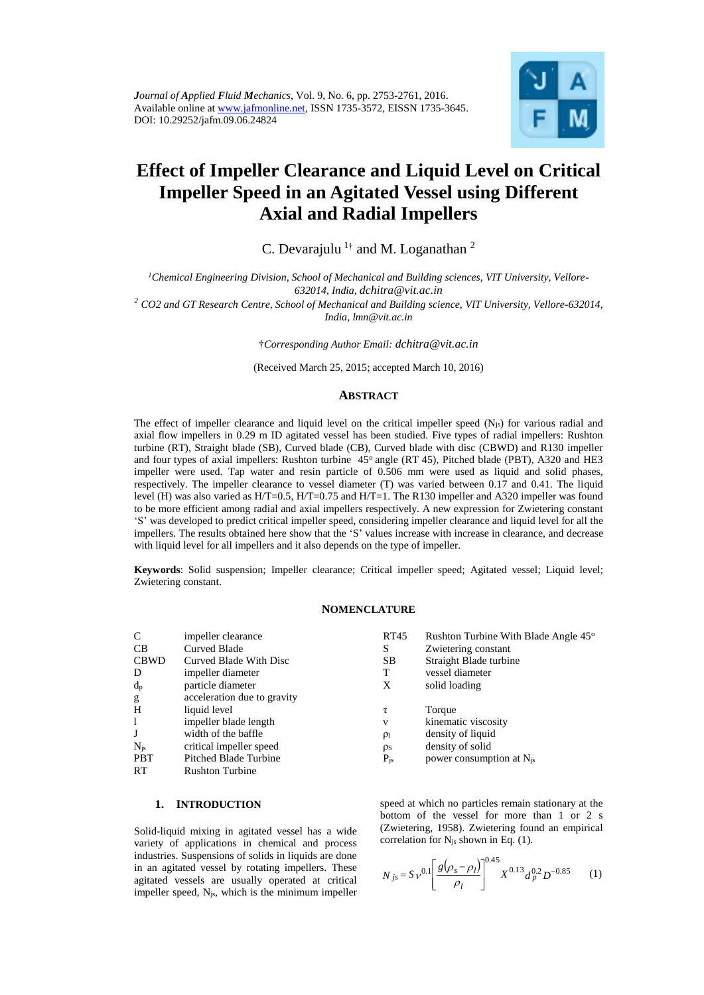

# **Effect of Impeller Clearance and Liquid Level on Critical Impeller Speed in an Agitated Vessel using Different Axial and Radial Impellers**

C. Devarajulu  $1$ <sup>†</sup> and M. Loganathan <sup>2</sup>

*1Chemical Engineering Division, School of Mechanical and Building sciences, VIT University, Vellore-632014, India, dchitra@vit.ac.in*

*<sup>2</sup> CO2 and GT Research Centre, School of Mechanical and Building science, VIT University, Vellore-632014, India, lmn@vit.ac.in*

†*Corresponding Author Email: dchitra@vit.ac.in*

(Received March 25, 2015; accepted March 10, 2016)

## **ABSTRACT**

The effect of impeller clearance and liquid level on the critical impeller speed  $(N_{js})$  for various radial and axial flow impellers in 0.29 m ID agitated vessel has been studied. Five types of radial impellers: Rushton turbine (RT), Straight blade (SB), Curved blade (CB), Curved blade with disc (CBWD) and R130 impeller and four types of axial impellers: Rushton turbine 45° angle (RT 45), Pitched blade (PBT), A320 and HE3 impeller were used. Tap water and resin particle of 0.506 mm were used as liquid and solid phases, respectively. The impeller clearance to vessel diameter (T) was varied between 0.17 and 0.41. The liquid level (H) was also varied as H/T=0.5, H/T=0.75 and H/T=1. The R130 impeller and A320 impeller was found to be more efficient among radial and axial impellers respectively. A new expression for Zwietering constant 'S' was developed to predict critical impeller speed, considering impeller clearance and liquid level for all the impellers. The results obtained here show that the 'S' values increase with increase in clearance, and decrease with liquid level for all impellers and it also depends on the type of impeller.

**Keywords**: Solid suspension; Impeller clearance; Critical impeller speed; Agitated vessel; Liquid level; Zwietering constant.

#### **NOMENCLATURE**

| C           | impeller clearance          | RT45     | Rushton Turbine With Blade Angle 45 <sup>°</sup> |
|-------------|-----------------------------|----------|--------------------------------------------------|
| CB          | <b>Curved Blade</b>         | S        | Zwietering constant                              |
| <b>CBWD</b> | Curved Blade With Disc      | SB.      | Straight Blade turbine                           |
| D           | impeller diameter           | т        | vessel diameter                                  |
| $d_{p}$     | particle diameter           | X        | solid loading                                    |
| g           | acceleration due to gravity |          |                                                  |
| H           | liquid level                | τ        | Torque                                           |
| 1           | impeller blade length       | ν        | kinematic viscosity                              |
| J           | width of the baffle         | $\rho_1$ | density of liquid                                |
| $N_{is}$    | critical impeller speed     | ρs       | density of solid                                 |
| <b>PBT</b>  | Pitched Blade Turbine       | $P_{is}$ | power consumption at $N_{is}$                    |
| <b>RT</b>   | <b>Rushton Turbine</b>      |          |                                                  |

#### **1. INTRODUCTION**

Solid-liquid mixing in agitated vessel has a wide variety of applications in chemical and process industries. Suspensions of solids in liquids are done in an agitated vessel by rotating impellers. These agitated vessels are usually operated at critical impeller speed,  $N<sub>js</sub>$ , which is the minimum impeller

speed at which no particles remain stationary at the bottom of the vessel for more than 1 or 2 s (Zwietering, 1958). Zwietering found an empirical correlation for  $N_{js}$  shown in Eq. (1).

$$
N_{js} = S \nu^{0.1} \left[ \frac{g(\rho_s - \rho_l)}{\rho_l} \right]^{0.45} X^{0.13} d_p^{0.2} D^{-0.85} \tag{1}
$$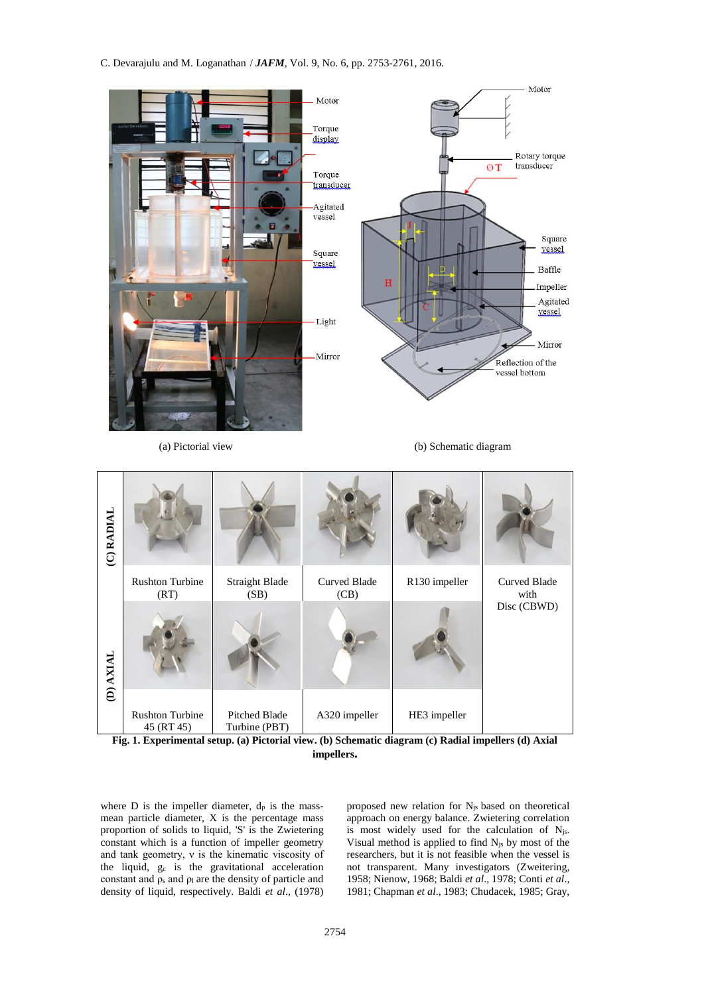C. Devarajulu and M. Loganathan / *JAFM*, Vol. 9, No. 6, pp. 2753-2761, 2016.





where  $D$  is the impeller diameter,  $d_p$  is the massmean particle diameter, X is the percentage mass proportion of solids to liquid, 'S' is the Zwietering constant which is a function of impeller geometry and tank geometry, ν is the kinematic viscosity of the liquid, g<sup>c</sup> is the gravitational acceleration constant and  $\rho_s$  and  $\rho_l$  are the density of particle and density of liquid, respectively. Baldi *et al*., (1978) proposed new relation for Njs based on theoretical approach on energy balance. Zwietering correlation is most widely used for the calculation of Njs. Visual method is applied to find Njs by most of the researchers, but it is not feasible when the vessel is not transparent. Many investigators (Zweitering, 1958; Nienow, 1968; Baldi *et al*., 1978; Conti *et al*., 1981; Chapman *et al*., 1983; Chudacek, 1985; Gray,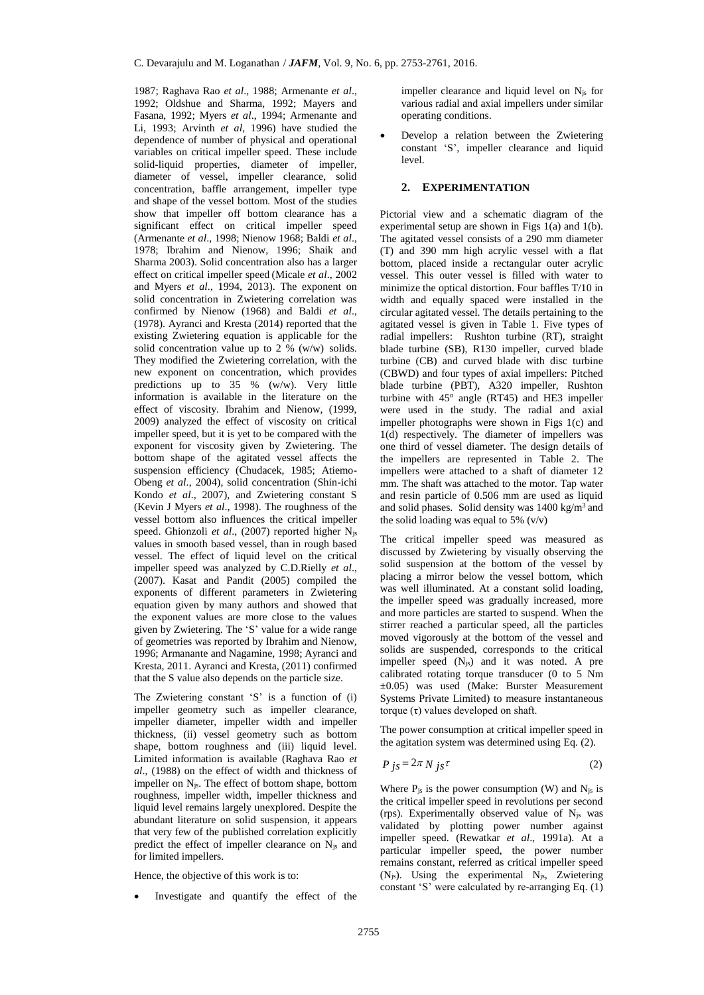1987; Raghava Rao *et al*., 1988; Armenante *et al*., 1992; Oldshue and Sharma, 1992; Mayers and Fasana, 1992; Myers *et al*., 1994; Armenante and Li, 1993; Arvinth *et al*, 1996) have studied the dependence of number of physical and operational variables on critical impeller speed. These include solid-liquid properties, diameter of impeller, diameter of vessel, impeller clearance, solid concentration, baffle arrangement, impeller type and shape of the vessel bottom. Most of the studies show that impeller off bottom clearance has a significant effect on critical impeller speed (Armenante *et al*., 1998; Nienow 1968; Baldi *et al*., 1978; Ibrahim and Nienow, 1996; Shaik and Sharma 2003). Solid concentration also has a larger effect on critical impeller speed (Micale *et al*., 2002 and Myers *et al*., 1994, 2013). The exponent on solid concentration in Zwietering correlation was confirmed by Nienow (1968) and Baldi *et al*., (1978). Ayranci and Kresta (2014) reported that the existing Zwietering equation is applicable for the solid concentration value up to 2 % (w/w) solids. They modified the Zwietering correlation, with the new exponent on concentration, which provides predictions up to 35 % (w/w). Very little information is available in the literature on the effect of viscosity. Ibrahim and Nienow, (1999, 2009) analyzed the effect of viscosity on critical impeller speed, but it is yet to be compared with the exponent for viscosity given by Zwietering. The bottom shape of the agitated vessel affects the suspension efficiency (Chudacek, 1985; Atiemo-Obeng *et al*., 2004), solid concentration (Shin-ichi Kondo *et al*., 2007), and Zwietering constant S (Kevin J Myers *et al*., 1998). The roughness of the vessel bottom also influences the critical impeller speed. Ghionzoli *et al*., (2007) reported higher Njs values in smooth based vessel, than in rough based vessel. The effect of liquid level on the critical impeller speed was analyzed by C.D.Rielly *et al*., (2007). Kasat and Pandit (2005) compiled the exponents of different parameters in Zwietering equation given by many authors and showed that the exponent values are more close to the values given by Zwietering. The 'S' value for a wide range of geometries was reported by Ibrahim and Nienow, 1996; Armanante and Nagamine, 1998; Ayranci and Kresta, 2011. Ayranci and Kresta, (2011) confirmed that the S value also depends on the particle size.

The Zwietering constant 'S' is a function of (i) impeller geometry such as impeller clearance, impeller diameter, impeller width and impeller thickness, (ii) vessel geometry such as bottom shape, bottom roughness and (iii) liquid level. Limited information is available (Raghava Rao *et al*., (1988) on the effect of width and thickness of impeller on Njs. The effect of bottom shape, bottom roughness, impeller width, impeller thickness and liquid level remains largely unexplored. Despite the abundant literature on solid suspension, it appears that very few of the published correlation explicitly predict the effect of impeller clearance on Njs and for limited impellers.

Hence, the objective of this work is to:

Investigate and quantify the effect of the

impeller clearance and liquid level on Njs for various radial and axial impellers under similar operating conditions.

 Develop a relation between the Zwietering constant 'S', impeller clearance and liquid level.

## **2. EXPERIMENTATION**

Pictorial view and a schematic diagram of the experimental setup are shown in Figs  $1(a)$  and  $1(b)$ . The agitated vessel consists of a 290 mm diameter (T) and 390 mm high acrylic vessel with a flat bottom, placed inside a rectangular outer acrylic vessel. This outer vessel is filled with water to minimize the optical distortion. Four baffles T/10 in width and equally spaced were installed in the circular agitated vessel. The details pertaining to the agitated vessel is given in Table 1. Five types of radial impellers: Rushton turbine (RT), straight blade turbine (SB), R130 impeller, curved blade turbine (CB) and curved blade with disc turbine (CBWD) and four types of axial impellers: Pitched blade turbine (PBT), A320 impeller, Rushton turbine with 45° angle (RT45) and HE3 impeller were used in the study. The radial and axial impeller photographs were shown in Figs 1(c) and 1(d) respectively. The diameter of impellers was one third of vessel diameter. The design details of the impellers are represented in Table 2. The impellers were attached to a shaft of diameter 12 mm. The shaft was attached to the motor. Tap water and resin particle of 0.506 mm are used as liquid and solid phases. Solid density was 1400 kg/m<sup>3</sup> and the solid loading was equal to 5%  $(v/v)$ 

The critical impeller speed was measured as discussed by Zwietering by visually observing the solid suspension at the bottom of the vessel by placing a mirror below the vessel bottom, which was well illuminated. At a constant solid loading, the impeller speed was gradually increased, more and more particles are started to suspend. When the stirrer reached a particular speed, all the particles moved vigorously at the bottom of the vessel and solids are suspended, corresponds to the critical impeller speed (Njs) and it was noted. A pre calibrated rotating torque transducer (0 to 5 Nm ±0.05) was used (Make: Burster Measurement Systems Private Limited) to measure instantaneous torque (τ) values developed on shaft.

The power consumption at critical impeller speed in the agitation system was determined using Eq. (2).

$$
P_{js} = 2\pi N_{js}\tau
$$
 (2)

Where  $P_{\text{js}}$  is the power consumption (W) and  $N_{\text{js}}$  is the critical impeller speed in revolutions per second (rps). Experimentally observed value of  $N_{is}$  was validated by plotting power number against impeller speed. (Rewatkar *et al*., 1991a). At a particular impeller speed, the power number remains constant, referred as critical impeller speed  $(N_{js})$ . Using the experimental  $N_{js}$ , Zwietering constant 'S' were calculated by re-arranging Eq. (1)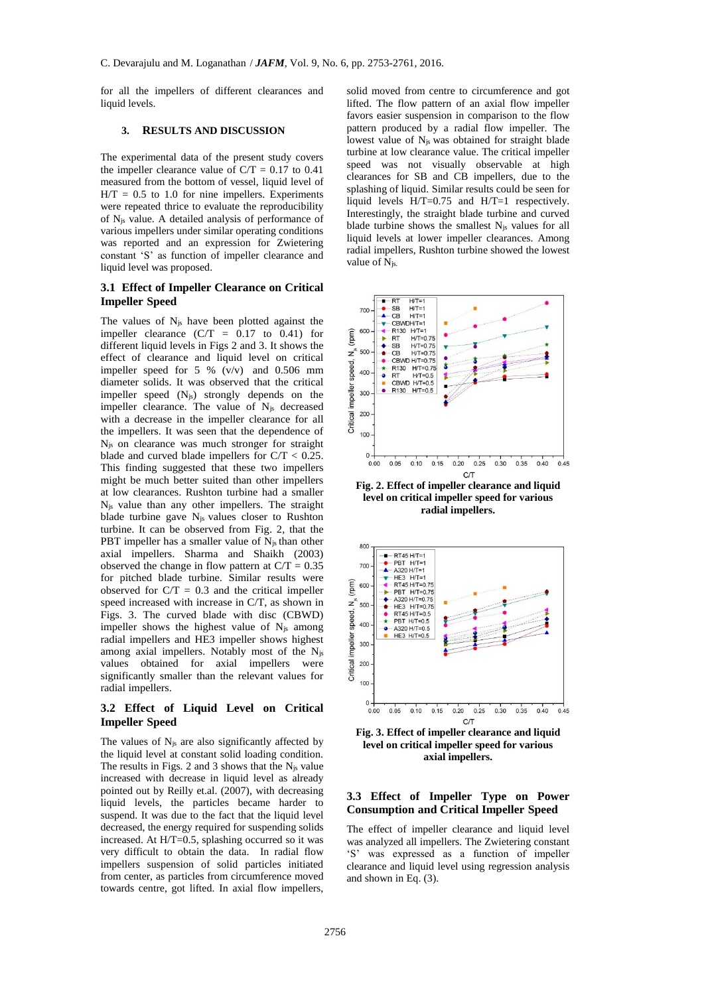for all the impellers of different clearances and liquid levels.

#### **3. RESULTS AND DISCUSSION**

The experimental data of the present study covers the impeller clearance value of  $C/T = 0.17$  to 0.41 measured from the bottom of vessel, liquid level of  $H/T = 0.5$  to 1.0 for nine impellers. Experiments were repeated thrice to evaluate the reproducibility of Njs value. A detailed analysis of performance of various impellers under similar operating conditions was reported and an expression for Zwietering constant 'S' as function of impeller clearance and liquid level was proposed.

#### **3.1 Effect of Impeller Clearance on Critical Impeller Speed**

The values of  $N_{js}$  have been plotted against the impeller clearance  $(C/T = 0.17$  to 0.41) for different liquid levels in Figs 2 and 3. It shows the effect of clearance and liquid level on critical impeller speed for 5 % (v/v) and 0.506 mm diameter solids. It was observed that the critical impeller speed (Njs) strongly depends on the impeller clearance. The value of Njs decreased with a decrease in the impeller clearance for all the impellers. It was seen that the dependence of Njs on clearance was much stronger for straight blade and curved blade impellers for C/T < 0.25. This finding suggested that these two impellers might be much better suited than other impellers at low clearances. Rushton turbine had a smaller Njs value than any other impellers. The straight blade turbine gave Njs values closer to Rushton turbine. It can be observed from Fig. 2, that the PBT impeller has a smaller value of  $N_{is}$  than other axial impellers. Sharma and Shaikh (2003) observed the change in flow pattern at  $C/T = 0.35$ for pitched blade turbine. Similar results were observed for  $C/T = 0.3$  and the critical impeller speed increased with increase in C/T, as shown in Figs. 3. The curved blade with disc (CBWD) impeller shows the highest value of  $N_{is}$  among radial impellers and HE3 impeller shows highest among axial impellers. Notably most of the Njs values obtained for axial impellers were significantly smaller than the relevant values for radial impellers.

## **3.2 Effect of Liquid Level on Critical Impeller Speed**

The values of  $N_{js}$  are also significantly affected by the liquid level at constant solid loading condition. The results in Figs. 2 and 3 shows that the  $N_{is}$  value increased with decrease in liquid level as already pointed out by Reilly et.al. (2007), with decreasing liquid levels, the particles became harder to suspend. It was due to the fact that the liquid level decreased, the energy required for suspending solids increased. At H/T=0.5, splashing occurred so it was very difficult to obtain the data. In radial flow impellers suspension of solid particles initiated from center, as particles from circumference moved towards centre, got lifted. In axial flow impellers,

solid moved from centre to circumference and got lifted. The flow pattern of an axial flow impeller favors easier suspension in comparison to the flow pattern produced by a radial flow impeller. The lowest value of  $N_{js}$  was obtained for straight blade turbine at low clearance value. The critical impeller speed was not visually observable at high clearances for SB and CB impellers, due to the splashing of liquid. Similar results could be seen for liquid levels H/T=0.75 and H/T=1 respectively. Interestingly, the straight blade turbine and curved blade turbine shows the smallest  $N_{is}$  values for all liquid levels at lower impeller clearances. Among radial impellers, Rushton turbine showed the lowest value of N<sub>is.</sub>



**Fig. 2. Effect of impeller clearance and liquid level on critical impeller speed for various radial impellers.**



**Fig. 3. Effect of impeller clearance and liquid level on critical impeller speed for various axial impellers.**

## **3.3 Effect of Impeller Type on Power Consumption and Critical Impeller Speed**

The effect of impeller clearance and liquid level was analyzed all impellers. The Zwietering constant 'S' was expressed as a function of impeller clearance and liquid level using regression analysis and shown in Eq. (3).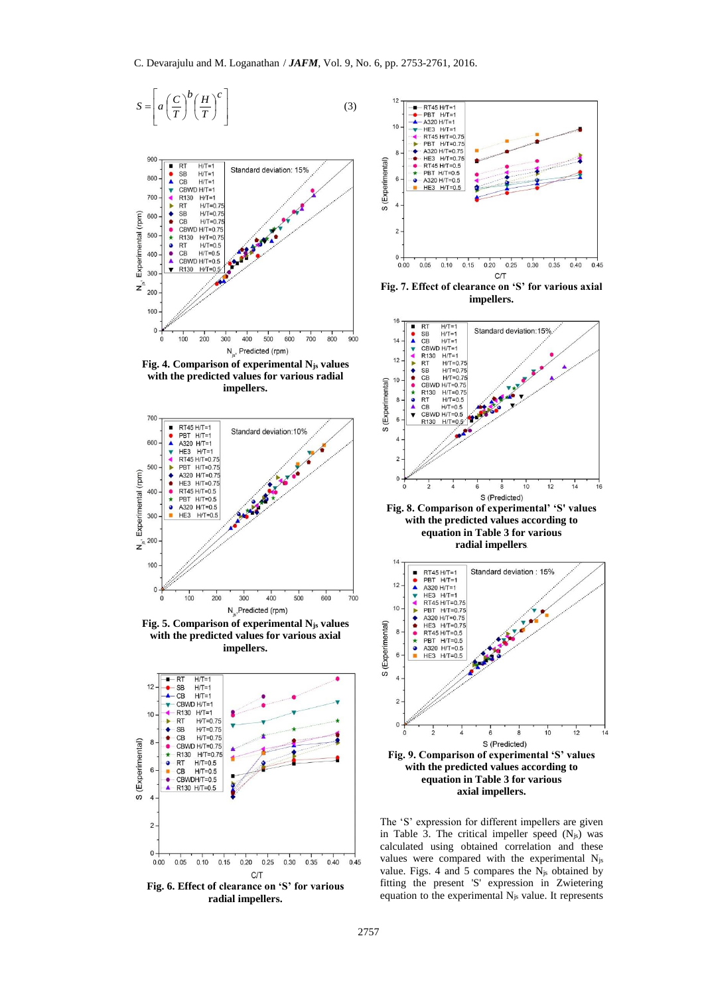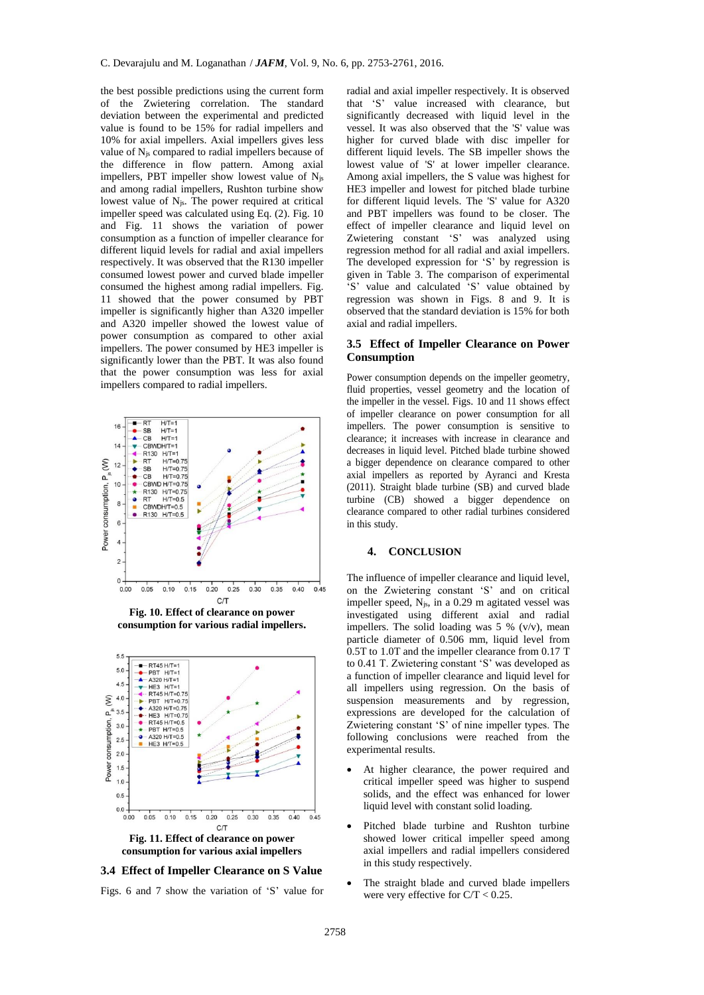the best possible predictions using the current form of the Zwietering correlation. The standard deviation between the experimental and predicted value is found to be 15% for radial impellers and 10% for axial impellers. Axial impellers gives less value of Njs compared to radial impellers because of the difference in flow pattern. Among axial impellers, PBT impeller show lowest value of Njs and among radial impellers, Rushton turbine show lowest value of Njs. The power required at critical impeller speed was calculated using Eq. (2). Fig. 10 and Fig. 11 shows the variation of power consumption as a function of impeller clearance for different liquid levels for radial and axial impellers respectively. It was observed that the R130 impeller consumed lowest power and curved blade impeller consumed the highest among radial impellers. Fig. 11 showed that the power consumed by PBT impeller is significantly higher than A320 impeller and A320 impeller showed the lowest value of power consumption as compared to other axial impellers. The power consumed by HE3 impeller is significantly lower than the PBT. It was also found that the power consumption was less for axial impellers compared to radial impellers.



**Fig. 10. Effect of clearance on power consumption for various radial impellers.**



**consumption for various axial impellers**

**3.4 Effect of Impeller Clearance on S Value**

Figs. 6 and 7 show the variation of 'S' value for

radial and axial impeller respectively. It is observed that 'S' value increased with clearance, but significantly decreased with liquid level in the vessel. It was also observed that the 'S' value was higher for curved blade with disc impeller for different liquid levels. The SB impeller shows the lowest value of 'S' at lower impeller clearance. Among axial impellers, the S value was highest for HE3 impeller and lowest for pitched blade turbine for different liquid levels. The 'S' value for A320 and PBT impellers was found to be closer. The effect of impeller clearance and liquid level on Zwietering constant 'S' was analyzed using regression method for all radial and axial impellers. The developed expression for 'S' by regression is given in Table 3. The comparison of experimental 'S' value and calculated 'S' value obtained by regression was shown in Figs. 8 and 9. It is observed that the standard deviation is 15% for both axial and radial impellers.

## **3.5 Effect of Impeller Clearance on Power Consumption**

Power consumption depends on the impeller geometry, fluid properties, vessel geometry and the location of the impeller in the vessel. Figs. 10 and 11 shows effect of impeller clearance on power consumption for all impellers. The power consumption is sensitive to clearance; it increases with increase in clearance and decreases in liquid level. Pitched blade turbine showed a bigger dependence on clearance compared to other axial impellers as reported by Ayranci and Kresta (2011). Straight blade turbine (SB) and curved blade turbine (CB) showed a bigger dependence on clearance compared to other radial turbines considered in this study.

## **4. CONCLUSION**

The influence of impeller clearance and liquid level, on the Zwietering constant 'S' and on critical impeller speed, Njs, in a 0.29 m agitated vessel was investigated using different axial and radial impellers. The solid loading was 5 % (v/v), mean particle diameter of 0.506 mm, liquid level from 0.5T to 1.0T and the impeller clearance from 0.17 T to 0.41 T. Zwietering constant 'S' was developed as a function of impeller clearance and liquid level for all impellers using regression. On the basis of suspension measurements and by regression, expressions are developed for the calculation of Zwietering constant 'S' of nine impeller types. The following conclusions were reached from the experimental results.

- At higher clearance, the power required and critical impeller speed was higher to suspend solids, and the effect was enhanced for lower liquid level with constant solid loading.
- Pitched blade turbine and Rushton turbine showed lower critical impeller speed among axial impellers and radial impellers considered in this study respectively.
- The straight blade and curved blade impellers were very effective for  $C/T < 0.25$ .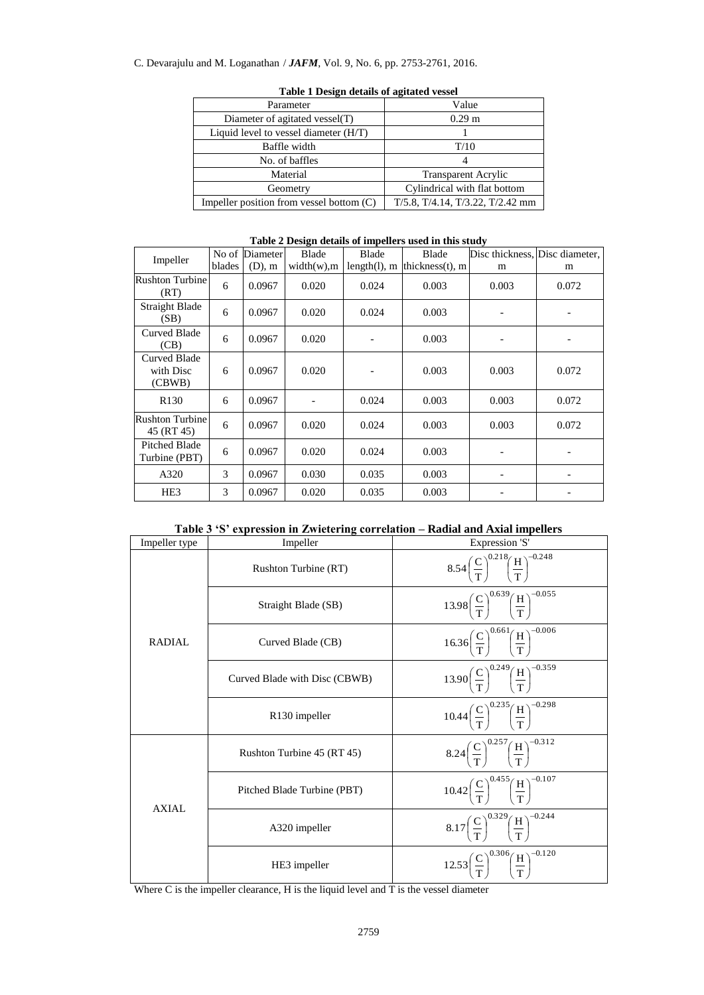# C. Devarajulu and M. Loganathan / *JAFM*, Vol. 9, No. 6, pp. 2753-2761, 2016.

| Parameter                                | Value                            |  |  |  |  |
|------------------------------------------|----------------------------------|--|--|--|--|
| Diameter of agitated vessel(T)           | 0.29 <sub>m</sub>                |  |  |  |  |
| Liquid level to vessel diameter (H/T)    |                                  |  |  |  |  |
| Baffle width                             | T/10                             |  |  |  |  |
| No. of baffles                           |                                  |  |  |  |  |
| Material                                 | <b>Transparent Acrylic</b>       |  |  |  |  |
| Geometry                                 | Cylindrical with flat bottom     |  |  |  |  |
| Impeller position from vessel bottom (C) | T/5.8, T/4.14, T/3.22, T/2.42 mm |  |  |  |  |

## **Table 1 Design details of agitated vessel**

# **Table 2 Design details of impellers used in this study**

| Impeller                                   |        | No of Diameter | Blade       | <b>Blade</b>    | Blade               |                          | Disc thickness, Disc diameter, |
|--------------------------------------------|--------|----------------|-------------|-----------------|---------------------|--------------------------|--------------------------------|
|                                            | blades | $(D)$ , m      | width(w), m | $length(l)$ , m | thickness $(t)$ , m | m                        | m                              |
| <b>Rushton Turbine</b><br>(RT)             | 6      | 0.0967         | 0.020       | 0.024           | 0.003               | 0.003                    | 0.072                          |
| Straight Blade<br>(SB)                     | 6      | 0.0967         | 0.020       | 0.024           | 0.003               | $\overline{\phantom{a}}$ |                                |
| <b>Curved Blade</b><br>(CB)                | 6      | 0.0967         | 0.020       |                 | 0.003               | $\overline{\phantom{a}}$ |                                |
| <b>Curved Blade</b><br>with Disc<br>(CBWB) | 6      | 0.0967         | 0.020       |                 | 0.003               | 0.003                    | 0.072                          |
| R <sub>130</sub>                           | 6      | 0.0967         |             | 0.024           | 0.003               | 0.003                    | 0.072                          |
| <b>Rushton Turbine</b><br>45 (RT 45)       | 6      | 0.0967         | 0.020       | 0.024           | 0.003               | 0.003                    | 0.072                          |
| <b>Pitched Blade</b><br>Turbine (PBT)      | 6      | 0.0967         | 0.020       | 0.024           | 0.003               |                          |                                |
| A320                                       | 3      | 0.0967         | 0.030       | 0.035           | 0.003               | $\overline{\phantom{a}}$ |                                |
| HE <sub>3</sub>                            | 3      | 0.0967         | 0.020       | 0.035           | 0.003               |                          |                                |

|  |  |  |  |  | Table 3 'S' expression in Zwietering correlation – Radial and Axial impellers |  |  |  |  |
|--|--|--|--|--|-------------------------------------------------------------------------------|--|--|--|--|
|--|--|--|--|--|-------------------------------------------------------------------------------|--|--|--|--|

| Impeller type<br>Impeller |                               | Expression 'S'                                                             |  |  |
|---------------------------|-------------------------------|----------------------------------------------------------------------------|--|--|
|                           | Rushton Turbine (RT)          | 8.54 $\left(\frac{C}{T}\right)^{0.218} \left(\frac{H}{T}\right)^{-0.248}$  |  |  |
|                           | Straight Blade (SB)           | $13.98\left(\frac{C}{T}\right)^{0.039}\left(\frac{H}{T}\right)^{-0.055}$   |  |  |
| RADIAL                    | Curved Blade (CB)             | $16.36 \left(\frac{C}{T}\right)^{0.661} \left(\frac{H}{T}\right)^{-0.006}$ |  |  |
|                           | Curved Blade with Disc (CBWB) | 13.90 $\left(\frac{C}{T}\right)^{0.249} \left(\frac{H}{T}\right)^{-0.359}$ |  |  |
|                           | R <sub>130</sub> impeller     | $10.44 \left(\frac{C}{T}\right)^{0.235} \left(\frac{H}{T}\right)^{-0.298}$ |  |  |
|                           | Rushton Turbine 45 (RT 45)    | 8.24 $\left(\frac{C}{T}\right)^{0.257} \left(\frac{H}{T}\right)^{-0.312}$  |  |  |
| <b>AXIAL</b>              | Pitched Blade Turbine (PBT)   | $10.42 \left(\frac{C}{T}\right)^{0.455} \left(\frac{H}{T}\right)^{-0.107}$ |  |  |
|                           | A320 impeller                 | 8.17 $\left(\frac{C}{T}\right)^{0.329} \left(\frac{H}{T}\right)^{-0.244}$  |  |  |
|                           | HE3 impeller                  | $12.53\left(\frac{C}{T}\right)^{0.300}\left(\frac{H}{T}\right)^{-0.120}$   |  |  |

Where C is the impeller clearance, H is the liquid level and T is the vessel diameter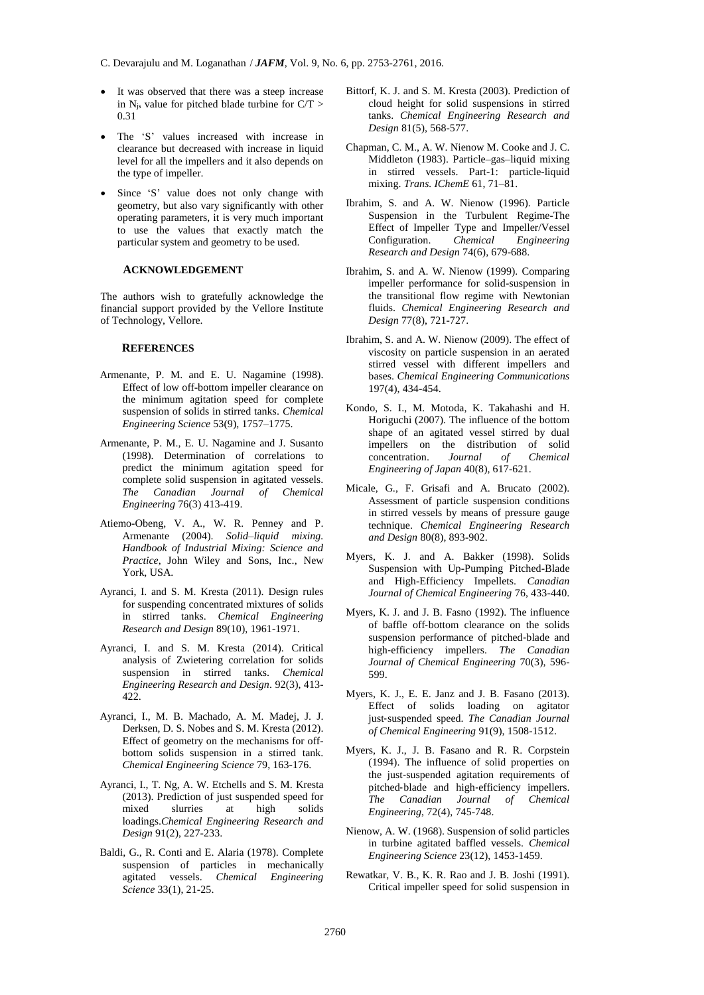- C. Devarajulu and M. Loganathan / *JAFM*, Vol. 9, No. 6, pp. 2753-2761, 2016.
- It was observed that there was a steep increase in  $N_{js}$  value for pitched blade turbine for  $C/T >$ 0.31
- The 'S' values increased with increase in clearance but decreased with increase in liquid level for all the impellers and it also depends on the type of impeller.
- Since 'S' value does not only change with geometry, but also vary significantly with other operating parameters, it is very much important to use the values that exactly match the particular system and geometry to be used.

#### **ACKNOWLEDGEMENT**

The authors wish to gratefully acknowledge the financial support provided by the Vellore Institute of Technology, Vellore.

#### **REFERENCES**

- Armenante, P. M. and E. U. Nagamine (1998). Effect of low off-bottom impeller clearance on the minimum agitation speed for complete suspension of solids in stirred tanks. *Chemical Engineering Science* 53(9), 1757–1775.
- Armenante, P. M., E. U. Nagamine and J. Susanto (1998). Determination of correlations to predict the minimum agitation speed for complete solid suspension in agitated vessels. *The Canadian Journal of Chemical Engineering* 76(3) 413-419.
- Atiemo-Obeng, V. A., W. R. Penney and P. Armenante (2004). *Solid–liquid mixing. Handbook of Industrial Mixing: Science and Practice*, John Wiley and Sons, Inc., New York, USA.
- Ayranci, I. and S. M. Kresta (2011). Design rules for suspending concentrated mixtures of solids in stirred tanks. *Chemical Engineering Research and Design* 89(10), 1961-1971.
- Ayranci, I. and S. M. Kresta (2014). Critical analysis of Zwietering correlation for solids suspension in stirred tanks. *Chemical Engineering Research and Design*. 92(3), 413- 422.
- Ayranci, I., M. B. Machado, A. M. Madej, J. J. Derksen, D. S. Nobes and S. M. Kresta (2012). Effect of geometry on the mechanisms for offbottom solids suspension in a stirred tank. *Chemical Engineering Science* 79, 163-176.
- Ayranci, I., T. Ng, A. W. Etchells and S. M. Kresta (2013). Prediction of just suspended speed for mixed slurries at high solids loadings.*Chemical Engineering Research and Design* 91(2), 227-233.
- Baldi, G., R. Conti and E. Alaria (1978). Complete suspension of particles in mechanically agitated vessels. *Chemical Engineering Science* 33(1), 21-25.
- Bittorf, K. J. and S. M. Kresta (2003). Prediction of cloud height for solid suspensions in stirred tanks. *Chemical Engineering Research and Design* 81(5), 568-577.
- Chapman, C. M., A. W. Nienow M. Cooke and J. C. Middleton (1983). Particle–gas–liquid mixing in stirred vessels. Part-1: particle-liquid mixing. *Trans. IChemE* 61, 71–81.
- Ibrahim, S. and A. W. Nienow (1996). Particle Suspension in the Turbulent Regime-The Effect of Impeller Type and Impeller/Vessel<br>Configuration. Chemical Engineering Configuration. *Chemical Engineering Research and Design* 74(6), 679-688.
- Ibrahim, S. and A. W. Nienow (1999). Comparing impeller performance for solid-suspension in the transitional flow regime with Newtonian fluids. *Chemical Engineering Research and Design* 77(8), 721-727.
- Ibrahim, S. and A. W. Nienow (2009). The effect of viscosity on particle suspension in an aerated stirred vessel with different impellers and bases. *Chemical Engineering Communications* 197(4), 434-454.
- Kondo, S. I., M. Motoda, K. Takahashi and H. Horiguchi (2007). The influence of the bottom shape of an agitated vessel stirred by dual impellers on the distribution of solid concentration. *Journal of Chemical Engineering of Japan* 40(8), 617-621.
- Micale, G., F. Grisafi and A. Brucato (2002). Assessment of particle suspension conditions in stirred vessels by means of pressure gauge technique. *Chemical Engineering Research and Design* 80(8), 893-902.
- Myers, K. J. and A. Bakker (1998). Solids Suspension with Up-Pumping Pitched-Blade and High-Efficiency Impellets. *Canadian Journal of Chemical Engineering* 76, 433-440.
- Myers, K. J. and J. B. Fasno (1992). The influence of baffle off‐bottom clearance on the solids suspension performance of pitched-blade and high‐efficiency impellers. *The Canadian Journal of Chemical Engineering* 70(3), 596- 599.
- Myers, K. J., E. E. Janz and J. B. Fasano (2013). Effect of solids loading on agitator just‐suspended speed. *The Canadian Journal of Chemical Engineering* 91(9), 1508-1512.
- Myers, K. J., J. B. Fasano and R. R. Corpstein (1994). The influence of solid properties on the just‐suspended agitation requirements of pitched‐blade and high‐efficiency impellers. *The Canadian Journal of Chemical Engineering*, 72(4), 745-748.
- Nienow, A. W. (1968). Suspension of solid particles in turbine agitated baffled vessels. *Chemical Engineering Science* 23(12), 1453-1459.
- Rewatkar, V. B., K. R. Rao and J. B. Joshi (1991). Critical impeller speed for solid suspension in